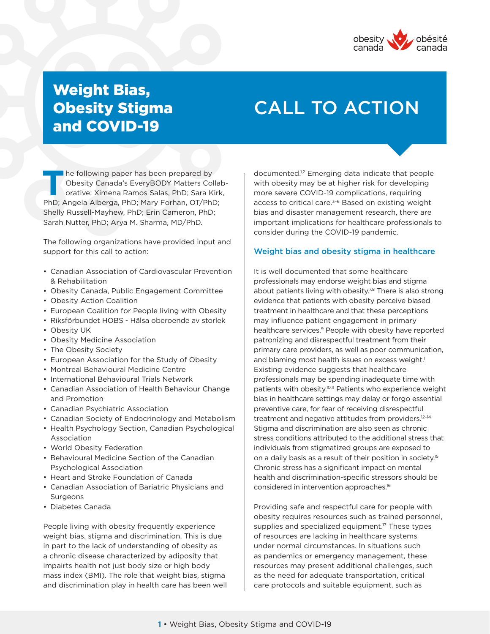

## Weight Bias, Obesity Stigma and COVID-19

# CALL TO ACTION

**The following paper has been prepared by Obesity Canada's EveryBODY Matters Collaborative: Ximena Ramos Salas, PhD; Sara Kirk,** Obesity Canada's EveryBODY Matters Collab-PhD; Angela Alberga, PhD; Mary Forhan, OT/PhD; Shelly Russell-Mayhew, PhD; Erin Cameron, PhD; Sarah Nutter, PhD; Arya M. Sharma, MD/PhD.

The following organizations have provided input and support for this call to action:

- Canadian Association of Cardiovascular Prevention & Rehabilitation
- Obesity Canada, Public Engagement Committee
- Obesity Action Coalition
- European Coalition for People living with Obesity
- Riksförbundet HOBS Hälsa oberoende av storlek
- Obesity UK
- Obesity Medicine Association
- The Obesity Society
- European Association for the Study of Obesity
- Montreal Behavioural Medicine Centre
- International Behavioural Trials Network
- Canadian Association of Health Behaviour Change and Promotion
- Canadian Psychiatric Association
- Canadian Society of Endocrinology and Metabolism
- Health Psychology Section, Canadian Psychological Association
- World Obesity Federation
- Behavioural Medicine Section of the Canadian Psychological Association
- Heart and Stroke Foundation of Canada
- Canadian Association of Bariatric Physicians and **Surgeons**
- Diabetes Canada

People living with obesity frequently experience weight bias, stigma and discrimination. This is due in part to the lack of understanding of obesity as a chronic disease characterized by adiposity that impairts health not just body size or high body mass index (BMI). The role that weight bias, stigma and discrimination play in health care has been well documented.1,2 Emerging data indicate that people with obesity may be at higher risk for developing more severe COVID-19 complications, requiring access to critical care.<sup>3-6</sup> Based on existing weight bias and disaster management research, there are important implications for healthcare professionals to consider during the COVID-19 pandemic.

#### Weight bias and obesity stigma in healthcare

It is well documented that some healthcare professionals may endorse weight bias and stigma about patients living with obesity.<sup>7,8</sup> There is also strong evidence that patients with obesity perceive biased treatment in healthcare and that these perceptions may influence patient engagement in primary healthcare services.<sup>9</sup> People with obesity have reported patronizing and disrespectful treatment from their primary care providers, as well as poor communication, and blaming most health issues on excess weight.<sup>1</sup> Existing evidence suggests that healthcare professionals may be spending inadequate time with patients with obesity.10,11 Patients who experience weight bias in healthcare settings may delay or forgo essential preventive care, for fear of receiving disrespectful treatment and negative attitudes from providers.<sup>12-14</sup> Stigma and discrimination are also seen as chronic stress conditions attributed to the additional stress that individuals from stigmatized groups are exposed to on a daily basis as a result of their position in society.<sup>15</sup> Chronic stress has a significant impact on mental health and discrimination-specific stressors should be considered in intervention approaches.16

Providing safe and respectful care for people with obesity requires resources such as trained personnel, supplies and specialized equipment.<sup>17</sup> These types of resources are lacking in healthcare systems under normal circumstances. In situations such as pandemics or emergency management, these resources may present additional challenges, such as the need for adequate transportation, critical care protocols and suitable equipment, such as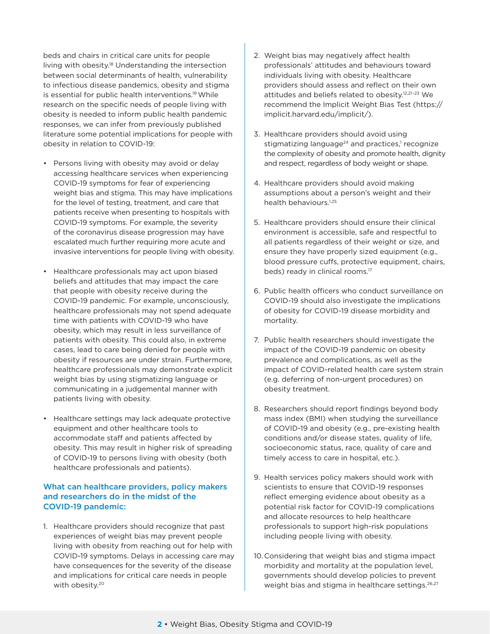beds and chairs in critical care units for people living with obesity.18 Understanding the intersection between social determinants of health, vulnerability to infectious disease pandemics, obesity and stigma is essential for public health interventions.<sup>19</sup> While research on the specific needs of people living with obesity is needed to inform public health pandemic responses, we can infer from previously published literature some potential implications for people with obesity in relation to COVID-19:

- Persons living with obesity may avoid or delay accessing healthcare services when experiencing COVID-19 symptoms for fear of experiencing weight bias and stigma. This may have implications for the level of testing, treatment, and care that patients receive when presenting to hospitals with COVID-19 symptoms. For example, the severity of the coronavirus disease progression may have escalated much further requiring more acute and invasive interventions for people living with obesity.
- Healthcare professionals may act upon biased beliefs and attitudes that may impact the care that people with obesity receive during the COVID-19 pandemic. For example, unconsciously, healthcare professionals may not spend adequate time with patients with COVID-19 who have obesity, which may result in less surveillance of patients with obesity. This could also, in extreme cases, lead to care being denied for people with obesity if resources are under strain. Furthermore, healthcare professionals may demonstrate explicit weight bias by using stigmatizing language or communicating in a judgemental manner with patients living with obesity.
- Healthcare settings may lack adequate protective equipment and other healthcare tools to accommodate staff and patients affected by obesity. This may result in higher risk of spreading of COVID-19 to persons living with obesity (both healthcare professionals and patients).

### What can healthcare providers, policy makers and researchers do in the midst of the COVID-19 pandemic:

1. Healthcare providers should recognize that past experiences of weight bias may prevent people living with obesity from reaching out for help with COVID-19 symptoms. Delays in accessing care may have consequences for the severity of the disease and implications for critical care needs in people with obesity.<sup>20</sup>

- 2. Weight bias may negatively affect health professionals' attitudes and behaviours toward individuals living with obesity. Healthcare providers should assess and reflect on their own attitudes and beliefs related to obesity.12,21–23 We recommend the Implicit Weight Bias Test (https:// implicit.harvard.edu/implicit/).
- 3. Healthcare providers should avoid using stigmatizing language $24$  and practices,<sup>1</sup> recognize the complexity of obesity and promote health, dignity and respect, regardless of body weight or shape.
- 4. Healthcare providers should avoid making assumptions about a person's weight and their health behaviours.<sup>1,25</sup>
- 5. Healthcare providers should ensure their clinical environment is accessible, safe and respectful to all patients regardless of their weight or size, and ensure they have properly sized equipment (e.g., blood pressure cuffs, protective equipment, chairs, beds) ready in clinical rooms.<sup>17</sup>
- 6. Public health officers who conduct surveillance on COVID-19 should also investigate the implications of obesity for COVID-19 disease morbidity and mortality.
- 7. Public health researchers should investigate the impact of the COVID-19 pandemic on obesity prevalence and complications, as well as the impact of COVID-related health care system strain (e.g. deferring of non-urgent procedures) on obesity treatment.
- 8. Researchers should report findings beyond body mass index (BMI) when studying the surveillance of COVID-19 and obesity (e.g., pre-existing health conditions and/or disease states, quality of life, socioeconomic status, race, quality of care and timely access to care in hospital, etc.).
- 9. Health services policy makers should work with scientists to ensure that COVID-19 responses reflect emerging evidence about obesity as a potential risk factor for COVID-19 complications and allocate resources to help healthcare professionals to support high-risk populations including people living with obesity.
- 10.Considering that weight bias and stigma impact morbidity and mortality at the population level, governments should develop policies to prevent weight bias and stigma in healthcare settings.<sup>26,27</sup>